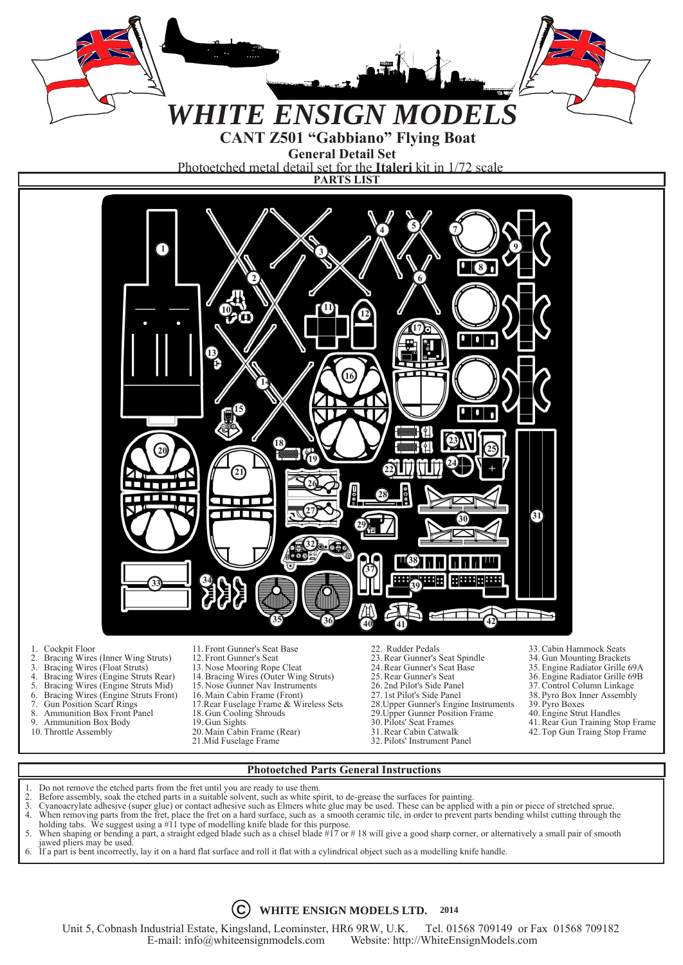

- holding tabs. We suggest using a #11 type of modelling knife blade for this purpose.
- 5. When shaping or bending a part, a straight edged blade such as a chisel blade #17 or # 18 will give a good sharp corner, or alternatively a small pair of smooth
- jawed pliers may be used.<br>6. If a part is bent incorrectl 6. If a part is bent incorrectly, lay it on a hard flat surface and roll it flat with a cylindrical object such as a modelling knife handle.



Unit 5, Cobnash Industrial Estate, Kingsland, Leominster, HR6 9RW, U.K. Tel. 01568 709149 or Fax 01568 709182<br>E-mail: info@whiteensignmodels.com Website: http://WhiteEnsignModels.com Website: http://WhiteEnsignModels.com

<sup>2.</sup> Before assembly, soak the etched parts in a suitable solvent, such as white spirit, to de-grease the surfaces for painting.<br>3. Cyanoacrylate adhesive (super glue) or contact adhesive such as Elmers white glue may be use 3. Cyanoacrylate adhesive (super glue) or contact adhesive such as Elmers white glue may be used. These can be applied with a pin or piece of stretched sprue. 4. When removing parts from the fret, place the fret on a hard surface, such as a smooth ceramic tile, in order to prevent parts bending whilst cutting through the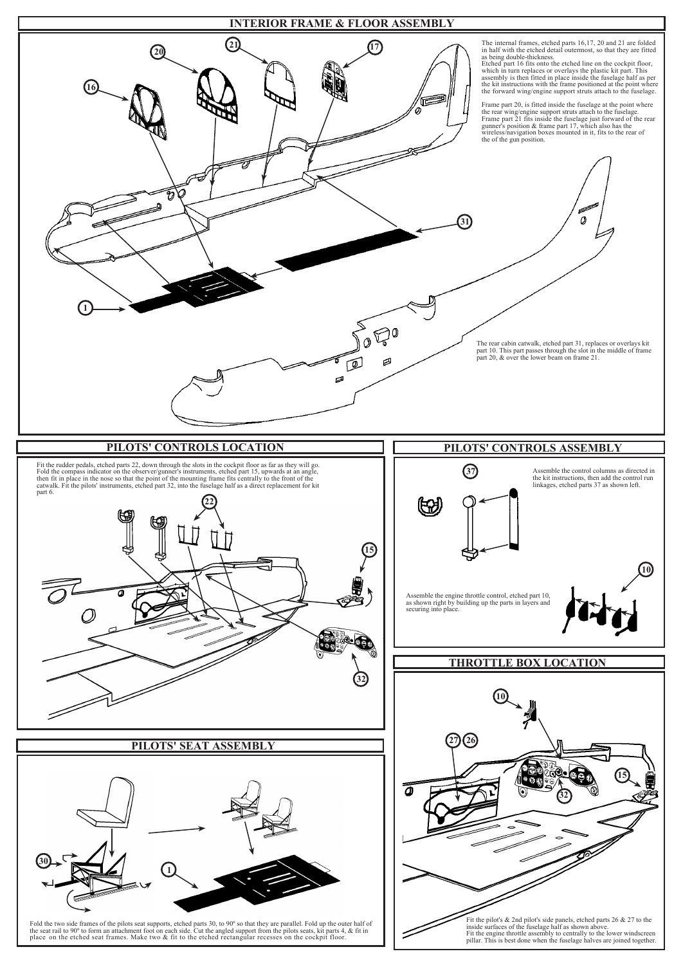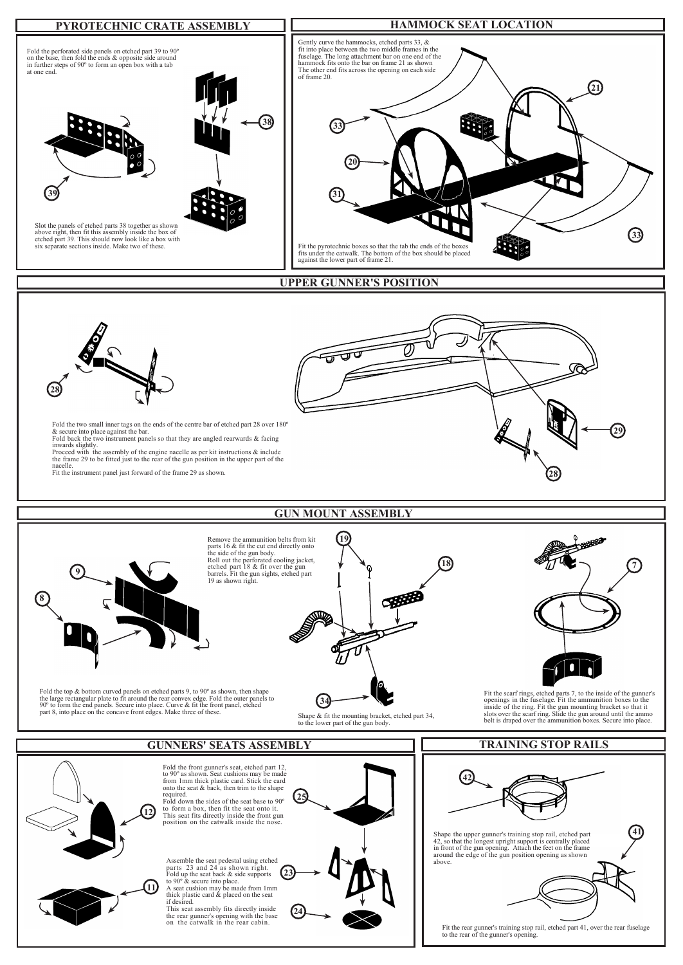